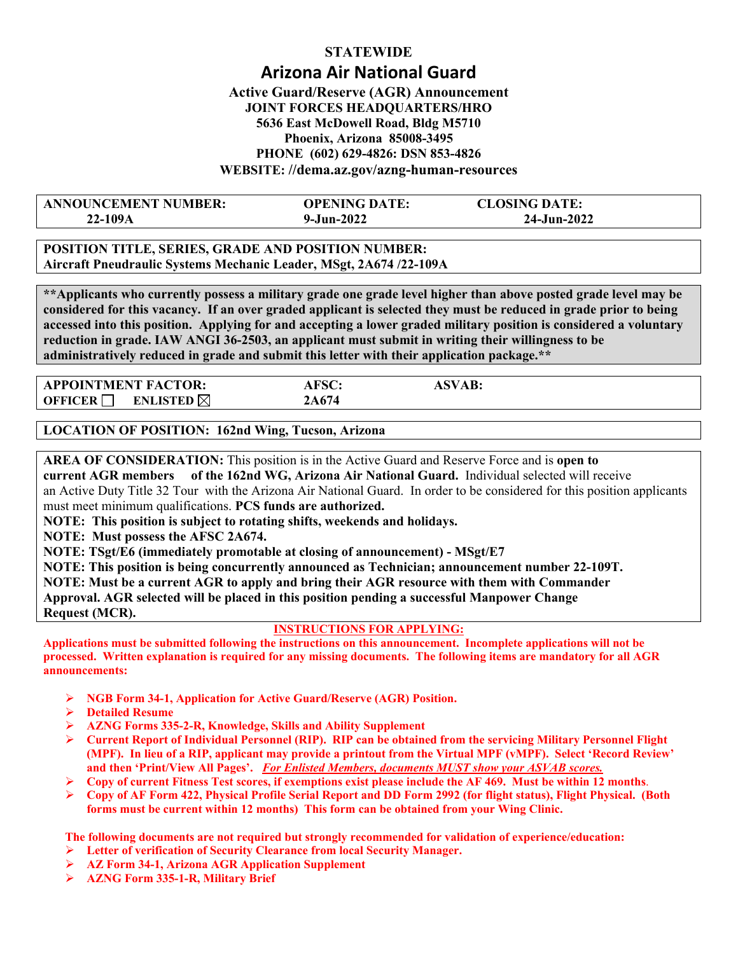# **STATEWIDE Arizona Air National Guard Active Guard/Reserve (AGR) Announcement**

# **JOINT FORCES HEADQUARTERS/HRO 5636 East McDowell Road, Bldg M5710 Phoenix, Arizona 85008-3495 PHONE (602) 629-4826: DSN 853-4826 WEBSITE: //dema.az.gov/azng-human-resources**

| <b>ANNOUNCEMENT NUMBER:</b> | <b>OPENING DATE:</b> | <b>CLOSING DATE:</b> |  |
|-----------------------------|----------------------|----------------------|--|
| 22-109A                     | $9 - Jun - 2022$     | 24-Jun-2022          |  |

**POSITION TITLE, SERIES, GRADE AND POSITION NUMBER: Aircraft Pneudraulic Systems Mechanic Leader, MSgt, 2A674 /22-109A** 

**\*\*Applicants who currently possess a military grade one grade level higher than above posted grade level may be considered for this vacancy. If an over graded applicant is selected they must be reduced in grade prior to being accessed into this position. Applying for and accepting a lower graded military position is considered a voluntary reduction in grade. IAW ANGI 36-2503, an applicant must submit in writing their willingness to be administratively reduced in grade and submit this letter with their application package.\*\*** 

| <b>APPOINTMENT FACTOR:</b>                    | AFSC:       | `SVAB: |
|-----------------------------------------------|-------------|--------|
| <b>ENLISTED</b> $\boxtimes$<br><b>OFFICER</b> | <b>A674</b> |        |

**LOCATION OF POSITION: 162nd Wing, Tucson, Arizona** 

**AREA OF CONSIDERATION:** This position is in the Active Guard and Reserve Force and is **open to current AGR members of the 162nd WG, Arizona Air National Guard.** Individual selected will receive an Active Duty Title 32 Tour with the Arizona Air National Guard. In order to be considered for this position applicants must meet minimum qualifications. **PCS funds are authorized.** 

**NOTE: This position is subject to rotating shifts, weekends and holidays.** 

**NOTE: Must possess the AFSC 2A674.** 

**NOTE: TSgt/E6 (immediately promotable at closing of announcement) - MSgt/E7** 

**NOTE: This position is being concurrently announced as Technician; announcement number 22-109T.** 

**NOTE: Must be a current AGR to apply and bring their AGR resource with them with Commander Approval. AGR selected will be placed in this position pending a successful Manpower Change Request (MCR).**

## **INSTRUCTIONS FOR APPLYING:**

**Applications must be submitted following the instructions on this announcement. Incomplete applications will not be processed. Written explanation is required for any missing documents. The following items are mandatory for all AGR announcements:** 

- **NGB Form 34-1, Application for Active Guard/Reserve (AGR) Position.**
- **Detailed Resume**
- **AZNG Forms 335-2-R, Knowledge, Skills and Ability Supplement**
- **Current Report of Individual Personnel (RIP). RIP can be obtained from the servicing Military Personnel Flight (MPF). In lieu of a RIP, applicant may provide a printout from the Virtual MPF (vMPF). Select 'Record Review' and then 'Print/View All Pages'.** *For Enlisted Members, documents MUST show your ASVAB scores.*
- **Copy of current Fitness Test scores, if exemptions exist please include the AF 469. Must be within 12 months**.
- **Copy of AF Form 422, Physical Profile Serial Report and DD Form 2992 (for flight status), Flight Physical. (Both forms must be current within 12 months) This form can be obtained from your Wing Clinic.**

**The following documents are not required but strongly recommended for validation of experience/education:** 

- **Letter of verification of Security Clearance from local Security Manager.**
- **AZ Form 34-1, Arizona AGR Application Supplement**
- **AZNG Form 335-1-R, Military Brief**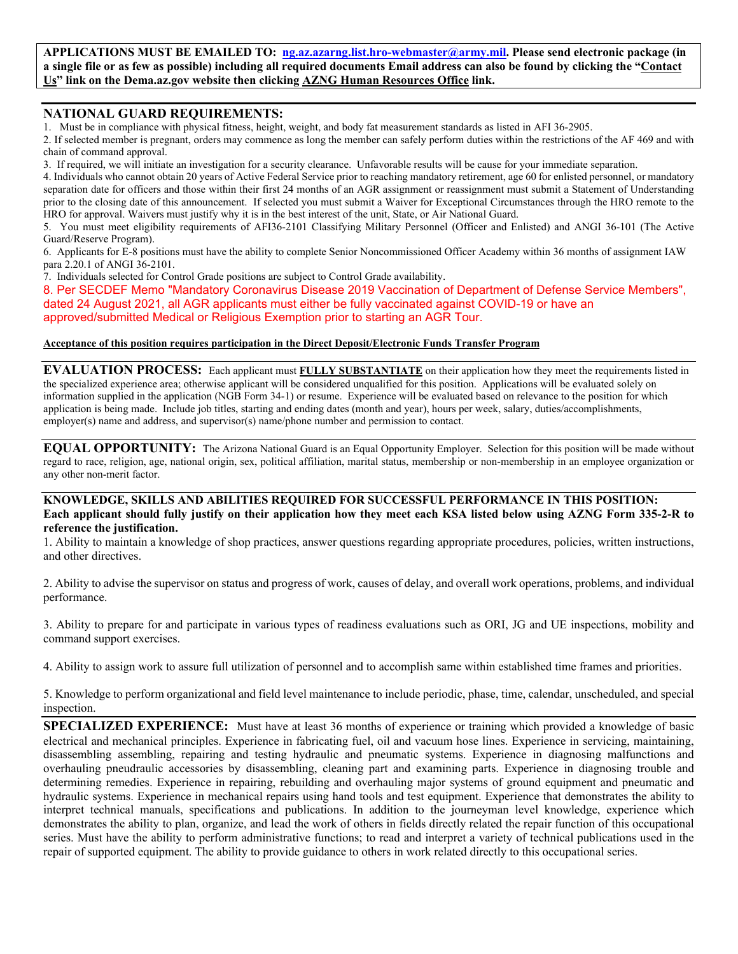**APPLICATIONS MUST BE EMAILED TO: ng.az.azarng.list.hro-webmaster@army.mil. Please send electronic package (in a single file or as few as possible) including all required documents Email address can also be found by clicking the "Contact Us" link on the Dema.az.gov website then clicking AZNG Human Resources Office link.** 

### **NATIONAL GUARD REQUIREMENTS:**

1. Must be in compliance with physical fitness, height, weight, and body fat measurement standards as listed in AFI 36-2905.

2. If selected member is pregnant, orders may commence as long the member can safely perform duties within the restrictions of the AF 469 and with chain of command approval.

3. If required, we will initiate an investigation for a security clearance. Unfavorable results will be cause for your immediate separation.

4. Individuals who cannot obtain 20 years of Active Federal Service prior to reaching mandatory retirement, age 60 for enlisted personnel, or mandatory separation date for officers and those within their first 24 months of an AGR assignment or reassignment must submit a Statement of Understanding prior to the closing date of this announcement. If selected you must submit a Waiver for Exceptional Circumstances through the HRO remote to the HRO for approval. Waivers must justify why it is in the best interest of the unit, State, or Air National Guard.

5. You must meet eligibility requirements of AFI36-2101 Classifying Military Personnel (Officer and Enlisted) and ANGI 36-101 (The Active Guard/Reserve Program).

6. Applicants for E-8 positions must have the ability to complete Senior Noncommissioned Officer Academy within 36 months of assignment IAW para 2.20.1 of ANGI 36-2101.

7. Individuals selected for Control Grade positions are subject to Control Grade availability.

8. Per SECDEF Memo "Mandatory Coronavirus Disease 2019 Vaccination of Department of Defense Service Members", dated 24 August 2021, all AGR applicants must either be fully vaccinated against COVID-19 or have an approved/submitted Medical or Religious Exemption prior to starting an AGR Tour.

#### **Acceptance of this position requires participation in the Direct Deposit/Electronic Funds Transfer Program**

**EVALUATION PROCESS:** Each applicant must **FULLY SUBSTANTIATE** on their application how they meet the requirements listed in the specialized experience area; otherwise applicant will be considered unqualified for this position. Applications will be evaluated solely on information supplied in the application (NGB Form 34-1) or resume. Experience will be evaluated based on relevance to the position for which application is being made. Include job titles, starting and ending dates (month and year), hours per week, salary, duties/accomplishments, employer(s) name and address, and supervisor(s) name/phone number and permission to contact.

**EQUAL OPPORTUNITY:** The Arizona National Guard is an Equal Opportunity Employer. Selection for this position will be made without regard to race, religion, age, national origin, sex, political affiliation, marital status, membership or non-membership in an employee organization or any other non-merit factor.

#### **KNOWLEDGE, SKILLS AND ABILITIES REQUIRED FOR SUCCESSFUL PERFORMANCE IN THIS POSITION: Each applicant should fully justify on their application how they meet each KSA listed below using AZNG Form 335-2-R to reference the justification.**

1. Ability to maintain a knowledge of shop practices, answer questions regarding appropriate procedures, policies, written instructions, and other directives.

2. Ability to advise the supervisor on status and progress of work, causes of delay, and overall work operations, problems, and individual performance.

3. Ability to prepare for and participate in various types of readiness evaluations such as ORI, JG and UE inspections, mobility and command support exercises.

4. Ability to assign work to assure full utilization of personnel and to accomplish same within established time frames and priorities.

5. Knowledge to perform organizational and field level maintenance to include periodic, phase, time, calendar, unscheduled, and special inspection.

**SPECIALIZED EXPERIENCE:** Must have at least 36 months of experience or training which provided a knowledge of basic electrical and mechanical principles. Experience in fabricating fuel, oil and vacuum hose lines. Experience in servicing, maintaining, disassembling assembling, repairing and testing hydraulic and pneumatic systems. Experience in diagnosing malfunctions and overhauling pneudraulic accessories by disassembling, cleaning part and examining parts. Experience in diagnosing trouble and determining remedies. Experience in repairing, rebuilding and overhauling major systems of ground equipment and pneumatic and hydraulic systems. Experience in mechanical repairs using hand tools and test equipment. Experience that demonstrates the ability to interpret technical manuals, specifications and publications. In addition to the journeyman level knowledge, experience which demonstrates the ability to plan, organize, and lead the work of others in fields directly related the repair function of this occupational series. Must have the ability to perform administrative functions; to read and interpret a variety of technical publications used in the repair of supported equipment. The ability to provide guidance to others in work related directly to this occupational series.